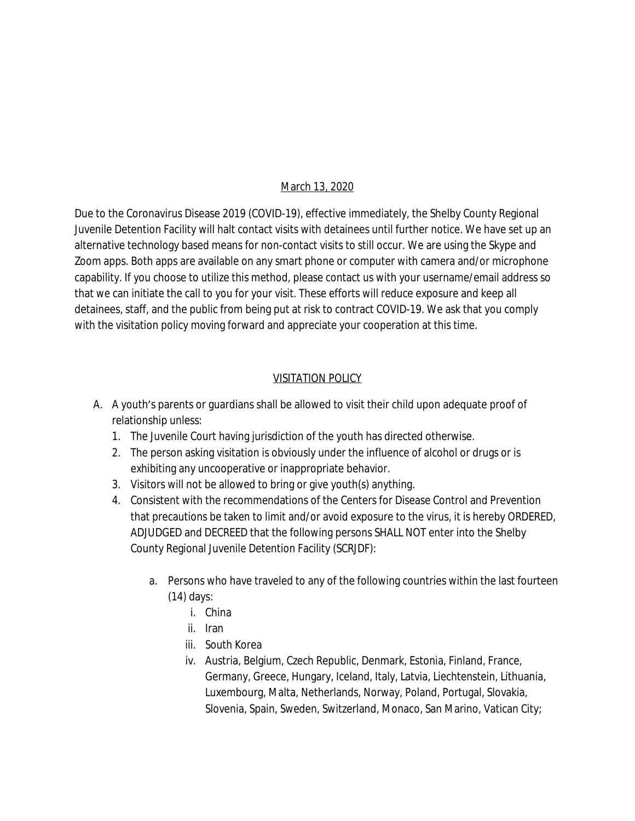## March 13, 2020

Due to the Coronavirus Disease 2019 (COVID-19), effective immediately, the Shelby County Regional Juvenile Detention Facility will halt contact visits with detainees until further notice. We have set up an alternative technology based means for non-contact visits to still occur. We are using the Skype and Zoom apps. Both apps are available on any smart phone or computer with camera and/or microphone capability. If you choose to utilize this method, please contact us with your username/email address so that we can initiate the call to you for your visit. These efforts will reduce exposure and keep all detainees, staff, and the public from being put at risk to contract COVID-19. We ask that you comply with the visitation policy moving forward and appreciate your cooperation at this time.

## VISITATION POLICY

- A. A youth's parents or guardians shall be allowed to visit their child upon adequate proof of relationship unless:
	- 1. The Juvenile Court having jurisdiction of the youth has directed otherwise.
	- 2. The person asking visitation is obviously under the influence of alcohol or drugs or is exhibiting any uncooperative or inappropriate behavior.
	- 3. Visitors will not be allowed to bring or give youth(s) anything.
	- 4. Consistent with the recommendations of the Centers for Disease Control and Prevention that precautions be taken to limit and/or avoid exposure to the virus, it is hereby ORDERED, ADJUDGED and DECREED that the following persons SHALL NOT enter into the Shelby County Regional Juvenile Detention Facility (SCRJDF):
		- a. Persons who have traveled to any of the following countries within the last fourteen (14) days:
			- i. China
			- ii. Iran
			- iii. South Korea
			- iv. Austria, Belgium, Czech Republic, Denmark, Estonia, Finland, France, Germany, Greece, Hungary, Iceland, Italy, Latvia, Liechtenstein, Lithuania, Luxembourg, Malta, Netherlands, Norway, Poland, Portugal, Slovakia, Slovenia, Spain, Sweden, Switzerland, Monaco, San Marino, Vatican City;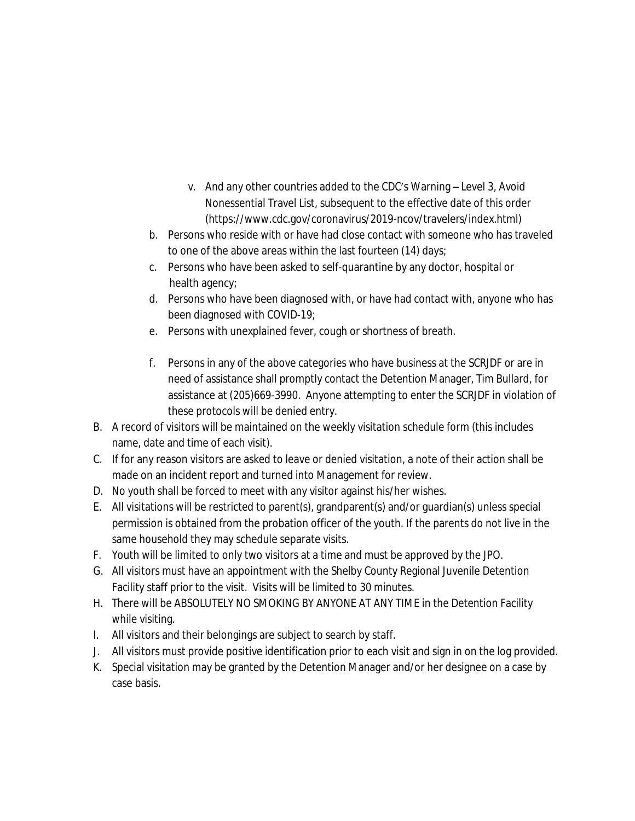- v. And any other countries added to the CDC's Warning Level 3, Avoid Nonessential Travel List, subsequent to the effective date of this order (https://www.cdc.gov/coronavirus/2019-ncov/travelers/index.html)
- b. Persons who reside with or have had close contact with someone who has traveled to one of the above areas within the last fourteen (14) days;
- c. Persons who have been asked to self-quarantine by any doctor, hospital or health agency;
- d. Persons who have been diagnosed with, or have had contact with, anyone who has been diagnosed with COVID-19;
- e. Persons with unexplained fever, cough or shortness of breath.
- f. Persons in any of the above categories who have business at the SCRJDF or are in need of assistance shall promptly contact the Detention Manager, Tim Bullard, for assistance at (205)669-3990. Anyone attempting to enter the SCRJDF in violation of these protocols will be denied entry.
- B. A record of visitors will be maintained on the weekly visitation schedule form (this includes name, date and time of each visit).
- C. If for any reason visitors are asked to leave or denied visitation, a note of their action shall be made on an incident report and turned into Management for review.
- D. No youth shall be forced to meet with any visitor against his/her wishes.
- E. All visitations will be restricted to parent(s), grandparent(s) and/or guardian(s) unless special permission is obtained from the probation officer of the youth. If the parents do not live in the same household they may schedule separate visits.
- F. Youth will be limited to only two visitors at a time and must be approved by the JPO.
- G. All visitors must have an appointment with the Shelby County Regional Juvenile Detention Facility staff prior to the visit. Visits will be limited to 30 minutes.
- H. There will be ABSOLUTELY NO SMOKING BY ANYONE AT ANY TIME in the Detention Facility while visiting.
- I. All visitors and their belongings are subject to search by staff.
- J. All visitors must provide positive identification prior to each visit and sign in on the log provided.
- K. Special visitation may be granted by the Detention Manager and/or her designee on a case by case basis.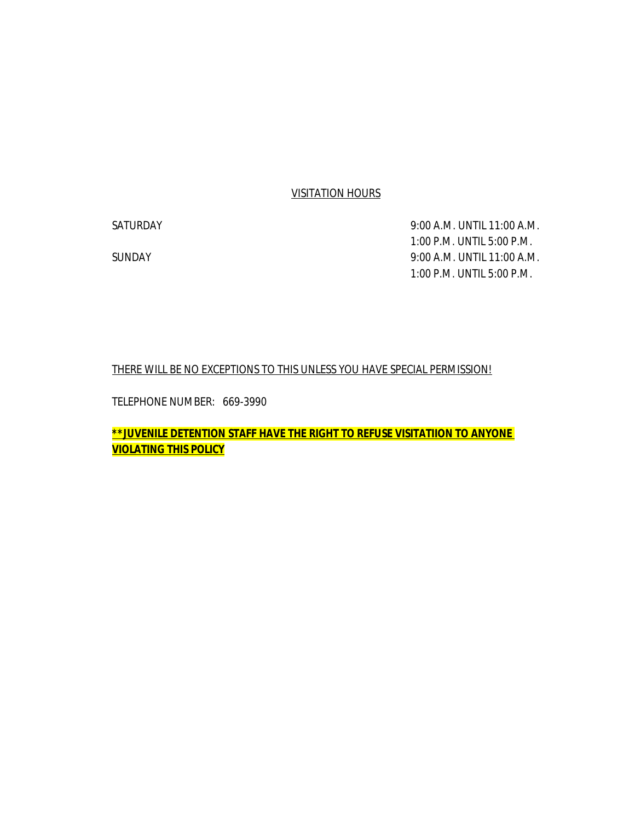## VISITATION HOURS

SATURDAY 9:00 A.M. UNTIL 11:00 A.M. 1:00 P.M. UNTIL 5:00 P.M. SUNDAY 9:00 A.M. UNTIL 11:00 A.M. 1:00 P.M. UNTIL 5:00 P.M.

## THERE WILL BE NO EXCEPTIONS TO THIS UNLESS YOU HAVE SPECIAL PERMISSION!

TELEPHONE NUMBER: 669-3990

*\*\*JUVENILE DETENTION STAFF HAVE THE RIGHT TO REFUSE VISITATIION TO ANYONE VIOLATING THIS POLICY*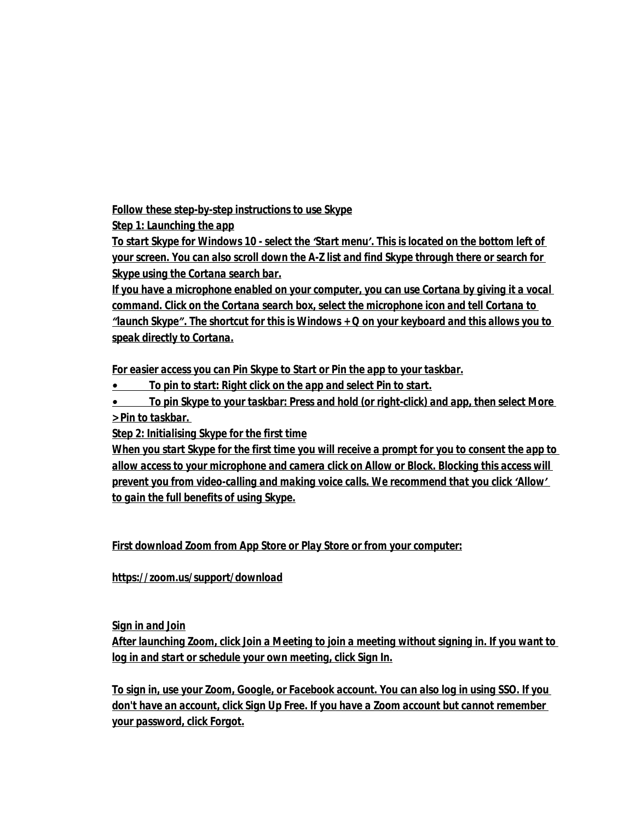*Follow these step-by-step instructions to use Skype*

*Step 1: Launching the app*

*To start Skype for Windows 10 - select the 'Start menu'. This is located on the bottom left of your screen. You can also scroll down the A-Z list and find Skype through there or search for Skype using the Cortana search bar.*

*If you have a microphone enabled on your computer, you can use Cortana by giving it a vocal command. Click on the Cortana search box, select the microphone icon and tell Cortana to "launch Skype". The shortcut for this is Windows + Q on your keyboard and this allows you to speak directly to Cortana.*

*For easier access you can Pin Skype to Start or Pin the app to your taskbar.*

*• To pin to start: Right click on the app and select Pin to start.*

*• To pin Skype to your taskbar: Press and hold (or right-click) and app, then select More > Pin to taskbar.* 

*Step 2: Initialising Skype for the first time*

*When you start Skype for the first time you will receive a prompt for you to consent the app to allow access to your microphone and camera click on Allow or Block. Blocking this access will prevent you from video-calling and making voice calls. We recommend that you click 'Allow' to gain the full benefits of using Skype.*

*First download Zoom from App Store or Play Store or from your computer:*

*https://zoom.us/support/download*

*Sign in and Join*

*After launching Zoom, click Join a Meeting to join a meeting without signing in. If you want to log in and start or schedule your own meeting, click Sign In.*

*To sign in, use your Zoom, Google, or Facebook account. You can also log in using SSO. If you don't have an account, click Sign Up Free. If you have a Zoom account but cannot remember your password, click Forgot.*